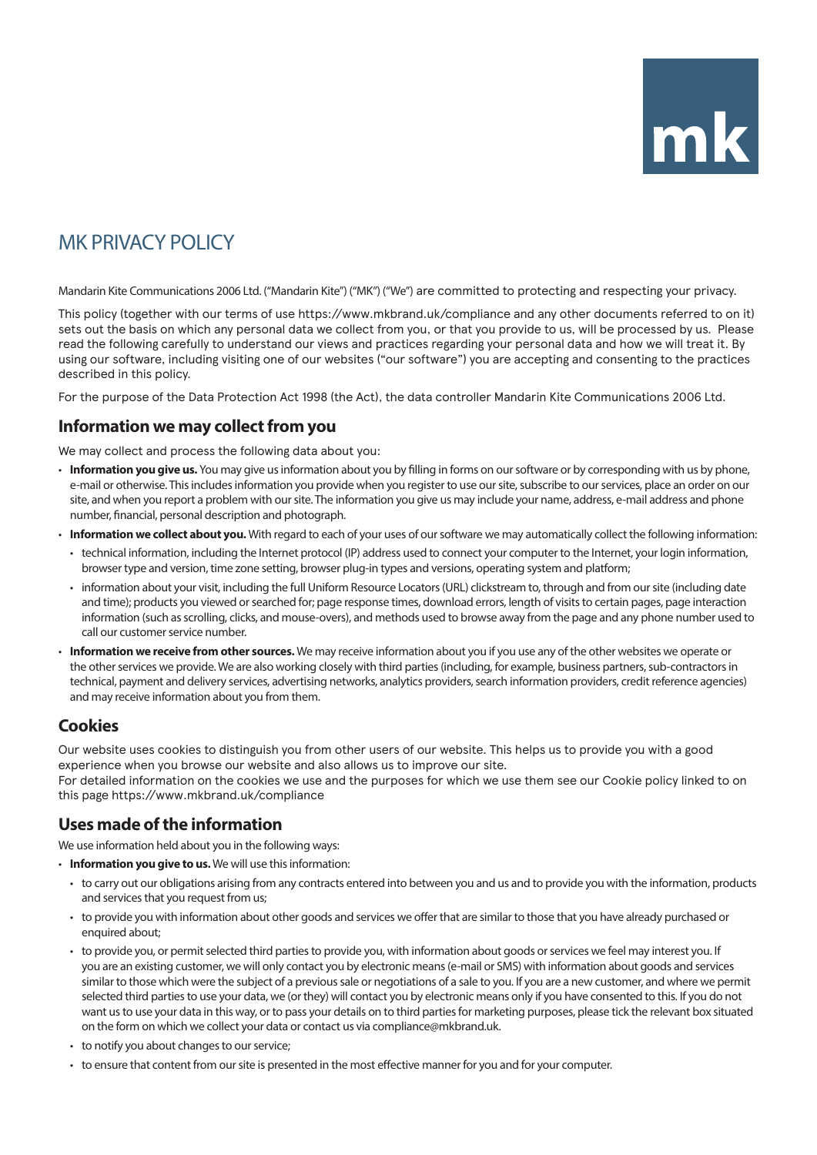# MK PRIVACY POLICY

Mandarin Kite Communications 2006 Ltd. ("Mandarin Kite") ("MK") ("We") are committed to protecting and respecting your privacy.

This policy (together with our terms of use https://www.mkbrand.uk/compliance and any other documents referred to on it) sets out the basis on which any personal data we collect from you, or that you provide to us, will be processed by us. Please read the following carefully to understand our views and practices regarding your personal data and how we will treat it. By using our software, including visiting one of our websites ("our software") you are accepting and consenting to the practices described in this policy.

For the purpose of the Data Protection Act 1998 (the Act), the data controller Mandarin Kite Communications 2006 Ltd.

## **Information we may collect from you**

We may collect and process the following data about you:

- **Information you give us.** You may give us information about you by filling in forms on our software or by corresponding with us by phone, e-mail or otherwise. This includes information you provide when you register to use our site, subscribe to our services, place an order on our site, and when you report a problem with our site. The information you give us may include your name, address, e-mail address and phone number, financial, personal description and photograph.
- **Information we collect about you.** With regard to each of your uses of our software we may automatically collect the following information:
	- technical information, including the Internet protocol (IP) address used to connect your computer to the Internet, your login information, browser type and version, time zone setting, browser plug-in types and versions, operating system and platform;
	- information about your visit, including the full Uniform Resource Locators (URL) clickstream to, through and from our site (including date and time); products you viewed or searched for; page response times, download errors, length of visits to certain pages, page interaction information (such as scrolling, clicks, and mouse-overs), and methods used to browse away from the page and any phone number used to call our customer service number.
- **Information we receive from other sources.** We may receive information about you if you use any of the other websites we operate or the other services we provide. We are also working closely with third parties (including, for example, business partners, sub-contractors in technical, payment and delivery services, advertising networks, analytics providers, search information providers, credit reference agencies) and may receive information about you from them.

# **Cookies**

Our website uses cookies to distinguish you from other users of our website. This helps us to provide you with a good experience when you browse our website and also allows us to improve our site. For detailed information on the cookies we use and the purposes for which we use them see our Cookie policy linked to on this page https://www.mkbrand.uk/compliance

# **Uses made of the information**

We use information held about you in the following ways:

- **Information you give to us.** We will use this information:
	- to carry out our obligations arising from any contracts entered into between you and us and to provide you with the information, products and services that you request from us:
	- to provide you with information about other goods and services we offer that are similar to those that you have already purchased or enquired about;
	- to provide you, or permit selected third parties to provide you, with information about goods or services we feel may interest you. If you are an existing customer, we will only contact you by electronic means (e-mail or SMS) with information about goods and services similar to those which were the subject of a previous sale or negotiations of a sale to you. If you are a new customer, and where we permit selected third parties to use your data, we (or they) will contact you by electronic means only if you have consented to this. If you do not want us to use your data in this way, or to pass your details on to third parties for marketing purposes, please tick the relevant box situated on the form on which we collect your data or contact us via compliance@mkbrand.uk.
	- to notify you about changes to our service;
	- to ensure that content from our site is presented in the most effective manner for you and for your computer.